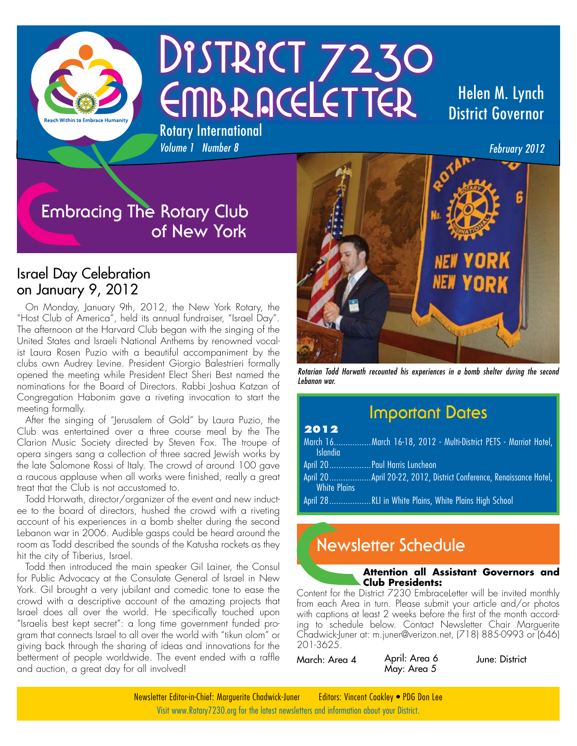

# DISTRICT 7230 EMBRACELETTER Rotary International

#### Helen M. Lynch District Governor

*February 2012*

### **Embracing The Rotary Club of New York**

*Volume 1 Number 8*

#### Israel Day Celebration on January 9, 2012

On Monday, January 9th, 2012, the New York Rotary, the "Host Club of America", held its annual fundraiser, "Israel Day". The afternoon at the Harvard Club began with the singing of the United States and Israeli National Anthems by renowned vocalist Laura Rosen Puzio with a beautiful accompaniment by the clubs own Audrey Levine. President Giorgio Balestrieri formally opened the meeting while President Elect Sheri Best named the nominations for the Board of Directors. Rabbi Joshua Katzan of Congregation Habonim gave a riveting invocation to start the meeting formally.

After the singing of "Jerusalem of Gold" by Laura Puzio, the Club was entertained over a three course meal by the The Clarion Music Society directed by Steven Fox. The troupe of opera singers sang a collection of three sacred Jewish works by the late Salomone Rossi of Italy. The crowd of around 100 gave a raucous applause when all works were finished, really a great treat that the Club is not accustomed to.

Todd Horwath, director/organizer of the event and new inductee to the board of directors, hushed the crowd with a riveting account of his experiences in a bomb shelter during the second Lebanon war in 2006. Audible gasps could be heard around the room as Todd described the sounds of the Katusha rockets as they hit the city of Tiberius, Israel.

Todd then introduced the main speaker Gil Lainer, the Consul for Public Advocacy at the Consulate General of Israel in New York. Gil brought a very jubilant and comedic tone to ease the crowd with a descriptive account of the amazing projects that Israel does all over the world. He specifically touched upon "Israelis best kept secret": a long time government funded program that connects Israel to all over the world with "tikun olom" or giving back through the sharing of ideas and innovations for the betterment of people worldwide. The event ended with a raffle and auction, a great day for all involved!



*Rotarian Todd Horwath recounted his experiences in a bomb shelter during the second Lebanon war.*

#### **Important Dates**

#### **2012**

| <b>Islandia</b>     | March 16March 16-18, 2012 - Multi-District PETS - Marriot Hotel, |
|---------------------|------------------------------------------------------------------|
|                     | April 20 Paul Harris Luncheon                                    |
| <b>White Plains</b> |                                                                  |
|                     | April 28RLI in White Plains, White Plains High School            |

### **Newsletter Schedule**

#### **Attention all Assistant Governors and Club Presidents:**

Content for the District 7230 EmbraceLetter will be invited monthly from each Area in turn. Please submit your article and/or photos with captions at least 2 weeks before the first of the month according to schedule below. Contact Newsletter Chair Marguerite Chadwick-Juner at: m.juner@verizon.net, (718) 885-0993 or (646) 201-3625.

March: Area 4 April: Area 6 May: Area 5 June: District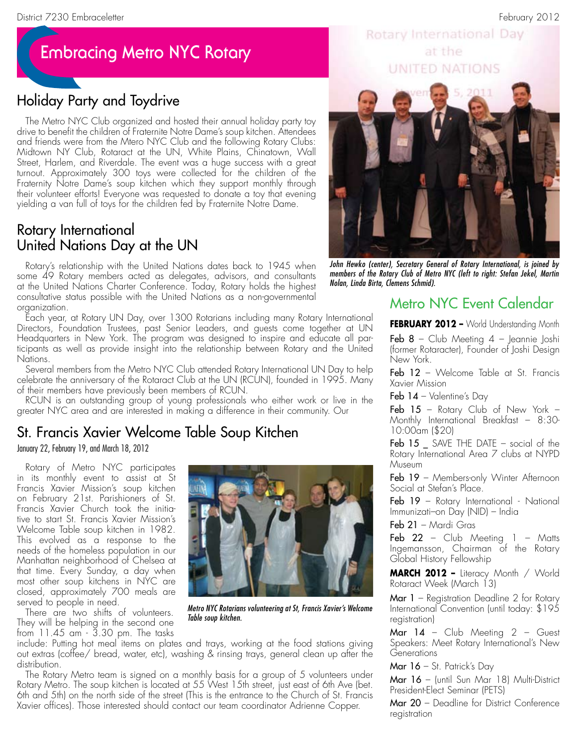### **Embracing Metro NYC Rotary**

#### Holiday Party and Toydrive

The Metro NYC Club organized and hosted their annual holiday party toy drive to benefit the children of Fraternite Notre Dame's soup kitchen. Attendees and friends were from the Mtero NYC Club and the following Rotary Clubs: Midtown NY Club, Rotaract at the UN, White Plains, Chinatown, Wall Street, Harlem, and Riverdale. The event was a huge success with a great turnout. Approximately 300 toys were collected for the children of the Fraternity Notre Dame's soup kitchen which they support monthly through their volunteer efforts! Everyone was requested to donate a toy that evening yielding a van full of toys for the children fed by Fraternite Notre Dame.

#### Rotary International United Nations Day at the UN

Rotary's relationship with the United Nations dates back to 1945 when some 49 Rotary members acted as delegates, advisors, and consultants at the United Nations Charter Conference. Today, Rotary holds the highest consultative status possible with the United Nations as a non-governmental organization.

Each year, at Rotary UN Day, over 1300 Rotarians including many Rotary International Directors, Foundation Trustees, past Senior Leaders, and guests come together at UN Headquarters in New York. The program was designed to inspire and educate all participants as well as provide insight into the relationship between Rotary and the United Nations.

Several members from the Metro NYC Club attended Rotary International UN Day to help celebrate the anniversary of the Rotaract Club at the UN (RCUN), founded in 1995. Many of their members have previously been members of RCUN.

RCUN is an outstanding group of young professionals who either work or live in the greater NYC area and are interested in making a difference in their community. Our

#### St. Francis Xavier Welcome Table Soup Kitchen

January 22, February 19, and March 18, 2012

Rotary of Metro NYC participates in its monthly event to assist at St Francis Xavier Mission's soup kitchen on February 21st. Parishioners of St. Francis Xavier Church took the initiative to start St. Francis Xavier Mission's Welcome Table soup kitchen in 1982. This evolved as a response to the needs of the homeless population in our Manhattan neighborhood of Chelsea at that time. Every Sunday, a day when most other soup kitchens in NYC are closed, approximately 700 meals are served to people in need.

There are two shifts of volunteers. They will be helping in the second one from 11.45 am - 3.30 pm. The tasks



*Metro NYC Rotarians volunteering at St, Francis Xavier's Welcome Table soup kitchen.*

include: Putting hot meal items on plates and trays, working at the food stations giving out extras (coffee/ bread, water, etc), washing & rinsing trays, general clean up after the distribution.

The Rotary Metro team is signed on a monthly basis for a group of 5 volunteers under Rotary Metro. The soup kitchen is located at 55 West 15th street, just east of 6th Ave (bet. 6th and 5th) on the north side of the street (This is the entrance to the Church of St. Francis Xavier offices). Those interested should contact our team coordinator Adrienne Copper.

#### Rotary International Day at the UNITED NATIONS



*John Hewko (center), Secretary General of Rotary International, is joined by members of the Rotary Club of Metro NYC (left to right: Stefan Jekel, Martin Nolan, Linda Birta, Clemens Schmid).*

#### Metro NYC Event Calendar

**FEBRUARY 2012 –** World Understanding Month

Feb  $8$  – Club Meeting  $4$  – Jeannie Joshi (former Rotaracter), Founder of Joshi Design New York.

Feb 12 - Welcome Table at St. Francis Xavier Mission

**Feb 14** – Valentine's Day

**Feb 15** – Rotary Club of New York – Monthly International Breakfast – 8:30- 10:00am (\$20)

Feb 15 SAVE THE DATE – social of the Rotary International Area 7 clubs at NYPD Museum

Feb 19 - Members-only Winter Afternoon Social at Stefan's Place.

Feb 19 – Rotary International - National Immunizati–on Day (NID) – India

Feb 21 – Mardi Gras

Feb  $22$  - Club Meeting  $1 -$  Matts Ingemansson, Chairman of the Rotary Global History Fellowship

**MARCH 2012 –** Literacy Month / World Rotaract Week (March 13)

**Mar 1** – Registration Deadline 2 for Rotary International Convention (until today: \$195 registration)

Mar 14 - Club Meeting 2 - Guest Speakers: Meet Rotary International's New **Generations** 

**Mar 16** – St. Patrick's Day

Mar 16 - (until Sun Mar 18) Multi-District President-Elect Seminar (PETS)

Mar 20 - Deadline for District Conference registration